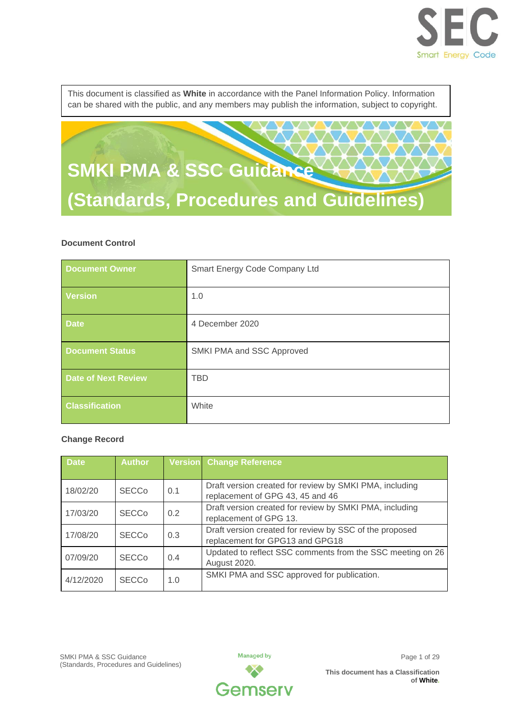

This document is classified as **White** in accordance with the Panel Information Policy. Information can be shared with the public, and any members may publish the information, subject to copyright.

# **SMKI PMA & SSC Guidance (Standards, Procedures and Gui[d](https://www.smartenergycodecompany.co.uk/sec/about-the-sec)elines)**

#### **Document Control**

| <b>Document Owner</b>  | Smart Energy Code Company Ltd |
|------------------------|-------------------------------|
| <b>Version</b>         | 1.0                           |
| <b>Date</b>            | 4 December 2020               |
| <b>Document Status</b> | SMKI PMA and SSC Approved     |
| Date of Next Review    | <b>TBD</b>                    |
| <b>Classification</b>  | White                         |

#### **Change Record**

| <b>Date</b> | <b>Author</b> |     | <b>Version Change Reference</b>                                                             |  |
|-------------|---------------|-----|---------------------------------------------------------------------------------------------|--|
| 18/02/20    | <b>SECCo</b>  | 0.1 | Draft version created for review by SMKI PMA, including<br>replacement of GPG 43, 45 and 46 |  |
| 17/03/20    | <b>SECCo</b>  | 0.2 | Draft version created for review by SMKI PMA, including<br>replacement of GPG 13.           |  |
| 17/08/20    | <b>SECCo</b>  | 0.3 | Draft version created for review by SSC of the proposed<br>replacement for GPG13 and GPG18  |  |
| 07/09/20    | <b>SECCo</b>  | 0.4 | Updated to reflect SSC comments from the SSC meeting on 26<br>August 2020.                  |  |
| 4/12/2020   | <b>SECCo</b>  | 1.0 | SMKI PMA and SSC approved for publication.                                                  |  |

SMKI PMA & SSC Guidance (Standards, Procedures and Guidelines)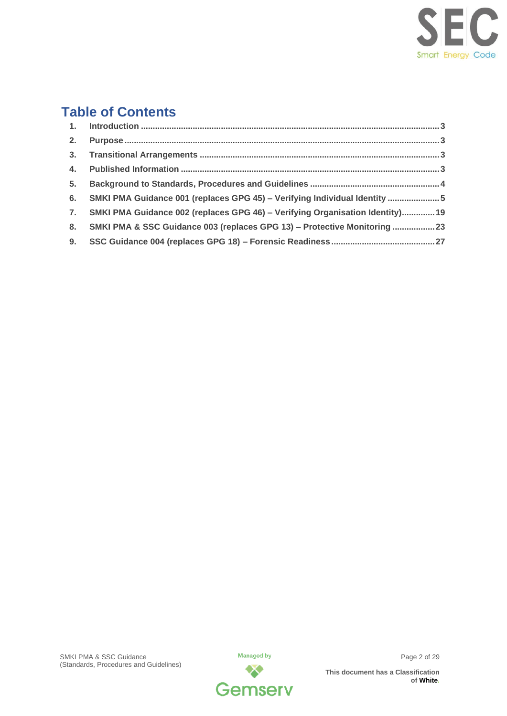

## **Table of Contents**

| 2. |                                                                                  |  |
|----|----------------------------------------------------------------------------------|--|
|    |                                                                                  |  |
|    |                                                                                  |  |
| 5. |                                                                                  |  |
|    | 6. SMKI PMA Guidance 001 (replaces GPG 45) - Verifying Individual Identity 5     |  |
|    | 7. SMKI PMA Guidance 002 (replaces GPG 46) - Verifying Organisation Identity) 19 |  |
|    | 8. SMKI PMA & SSC Guidance 003 (replaces GPG 13) - Protective Monitoring 23      |  |
|    |                                                                                  |  |



Page 2 of 29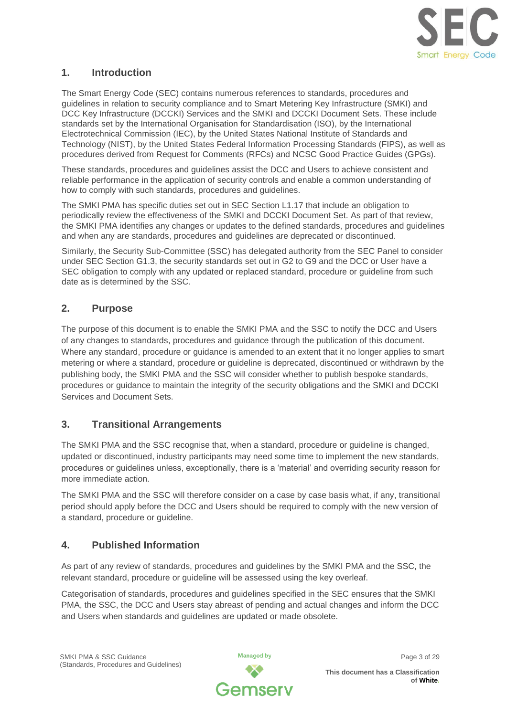

## <span id="page-2-0"></span>**1. Introduction**

The Smart Energy Code (SEC) contains numerous references to standards, procedures and guidelines in relation to security compliance and to Smart Metering Key Infrastructure (SMKI) and DCC Key Infrastructure (DCCKI) Services and the SMKI and DCCKI Document Sets. These include standards set by the International Organisation for Standardisation (ISO), by the International Electrotechnical Commission (IEC), by the United States National Institute of Standards and Technology (NIST), by the United States Federal Information Processing Standards (FIPS), as well as procedures derived from Request for Comments (RFCs) and NCSC Good Practice Guides (GPGs).

These standards, procedures and guidelines assist the DCC and Users to achieve consistent and reliable performance in the application of security controls and enable a common understanding of how to comply with such standards, procedures and guidelines.

The SMKI PMA has specific duties set out in SEC Section L1.17 that include an obligation to periodically review the effectiveness of the SMKI and DCCKI Document Set. As part of that review, the SMKI PMA identifies any changes or updates to the defined standards, procedures and guidelines and when any are standards, procedures and guidelines are deprecated or discontinued.

Similarly, the Security Sub-Committee (SSC) has delegated authority from the SEC Panel to consider under SEC Section G1.3, the security standards set out in G2 to G9 and the DCC or User have a SEC obligation to comply with any updated or replaced standard, procedure or guideline from such date as is determined by the SSC.

## <span id="page-2-1"></span>**2. Purpose**

The purpose of this document is to enable the SMKI PMA and the SSC to notify the DCC and Users of any changes to standards, procedures and guidance through the publication of this document. Where any standard, procedure or guidance is amended to an extent that it no longer applies to smart metering or where a standard, procedure or guideline is deprecated, discontinued or withdrawn by the publishing body, the SMKI PMA and the SSC will consider whether to publish bespoke standards, procedures or guidance to maintain the integrity of the security obligations and the SMKI and DCCKI Services and Document Sets.

## <span id="page-2-2"></span>**3. Transitional Arrangements**

The SMKI PMA and the SSC recognise that, when a standard, procedure or guideline is changed, updated or discontinued, industry participants may need some time to implement the new standards, procedures or guidelines unless, exceptionally, there is a 'material' and overriding security reason for more immediate action.

The SMKI PMA and the SSC will therefore consider on a case by case basis what, if any, transitional period should apply before the DCC and Users should be required to comply with the new version of a standard, procedure or guideline.

## <span id="page-2-3"></span>**4. Published Information**

As part of any review of standards, procedures and guidelines by the SMKI PMA and the SSC, the relevant standard, procedure or guideline will be assessed using the key overleaf.

Categorisation of standards, procedures and guidelines specified in the SEC ensures that the SMKI PMA, the SSC, the DCC and Users stay abreast of pending and actual changes and inform the DCC and Users when standards and guidelines are updated or made obsolete.



Page 3 of 29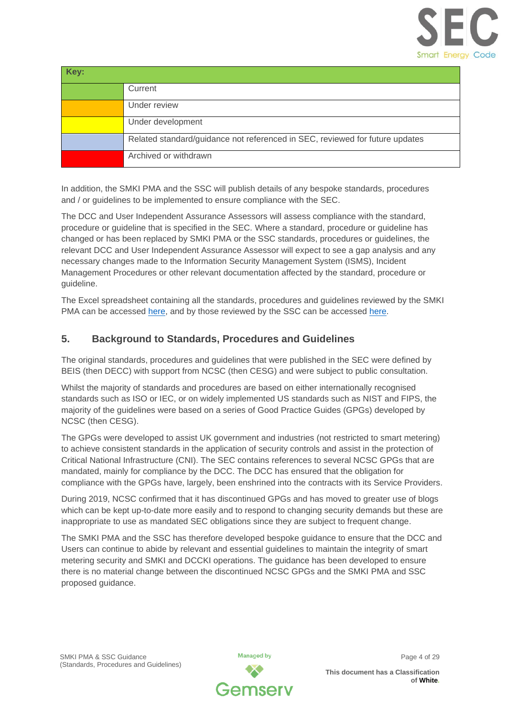

| Key: |                                                                              |
|------|------------------------------------------------------------------------------|
|      | Current                                                                      |
|      | Under review                                                                 |
|      | Under development                                                            |
|      | Related standard/guidance not referenced in SEC, reviewed for future updates |
|      | Archived or withdrawn                                                        |

In addition, the SMKI PMA and the SSC will publish details of any bespoke standards, procedures and / or guidelines to be implemented to ensure compliance with the SEC.

The DCC and User Independent Assurance Assessors will assess compliance with the standard, procedure or guideline that is specified in the SEC. Where a standard, procedure or guideline has changed or has been replaced by SMKI PMA or the SSC standards, procedures or guidelines, the relevant DCC and User Independent Assurance Assessor will expect to see a gap analysis and any necessary changes made to the Information Security Management System (ISMS), Incident Management Procedures or other relevant documentation affected by the standard, procedure or guideline.

The Excel spreadsheet containing all the standards, procedures and guidelines reviewed by the SMKI PMA can be accessed [here,](https://smartenergycodecompany.co.uk/download/17999/) and by those reviewed by the SSC can be accessed [here.](https://smartenergycodecompany.co.uk/download/7806/)

## <span id="page-3-0"></span>**5. Background to Standards, Procedures and Guidelines**

The original standards, procedures and guidelines that were published in the SEC were defined by BEIS (then DECC) with support from NCSC (then CESG) and were subject to public consultation.

Whilst the majority of standards and procedures are based on either internationally recognised standards such as ISO or IEC, or on widely implemented US standards such as NIST and FIPS, the majority of the guidelines were based on a series of Good Practice Guides (GPGs) developed by NCSC (then CESG).

The GPGs were developed to assist UK government and industries (not restricted to smart metering) to achieve consistent standards in the application of security controls and assist in the protection of Critical National Infrastructure (CNI). The SEC contains references to several NCSC GPGs that are mandated, mainly for compliance by the DCC. The DCC has ensured that the obligation for compliance with the GPGs have, largely, been enshrined into the contracts with its Service Providers.

During 2019, NCSC confirmed that it has discontinued GPGs and has moved to greater use of blogs which can be kept up-to-date more easily and to respond to changing security demands but these are inappropriate to use as mandated SEC obligations since they are subject to frequent change.

The SMKI PMA and the SSC has therefore developed bespoke guidance to ensure that the DCC and Users can continue to abide by relevant and essential guidelines to maintain the integrity of smart metering security and SMKI and DCCKI operations. The guidance has been developed to ensure there is no material change between the discontinued NCSC GPGs and the SMKI PMA and SSC proposed guidance.

SMKI PMA & SSC Guidance (Standards, Procedures and Guidelines)



Page 4 of 29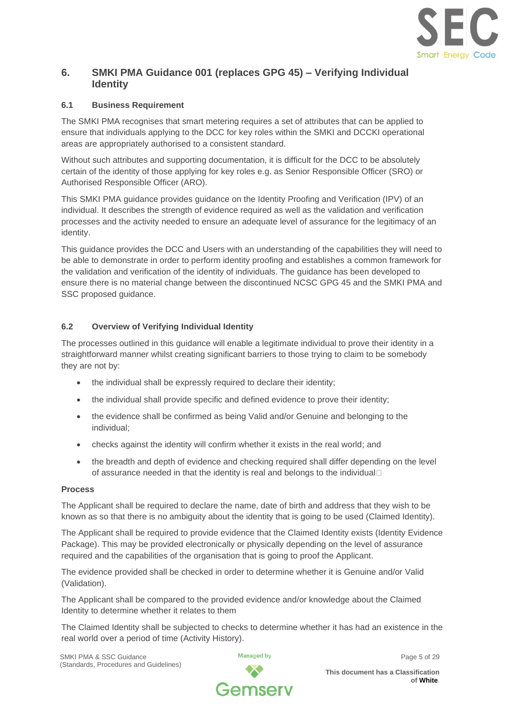

## <span id="page-4-0"></span>**6. SMKI PMA Guidance 001 (replaces GPG 45) – Verifying Individual Identity**

#### **6.1 Business Requirement**

The SMKI PMA recognises that smart metering requires a set of attributes that can be applied to ensure that individuals applying to the DCC for key roles within the SMKI and DCCKI operational areas are appropriately authorised to a consistent standard.

Without such attributes and supporting documentation, it is difficult for the DCC to be absolutely certain of the identity of those applying for key roles e.g. as Senior Responsible Officer (SRO) or Authorised Responsible Officer (ARO).

This SMKI PMA guidance provides guidance on the Identity Proofing and Verification (IPV) of an individual. It describes the strength of evidence required as well as the validation and verification processes and the activity needed to ensure an adequate level of assurance for the legitimacy of an identity.

This guidance provides the DCC and Users with an understanding of the capabilities they will need to be able to demonstrate in order to perform identity proofing and establishes a common framework for the validation and verification of the identity of individuals. The guidance has been developed to ensure there is no material change between the discontinued NCSC GPG 45 and the SMKI PMA and SSC proposed guidance.

#### **6.2 Overview of Verifying Individual Identity**

The processes outlined in this guidance will enable a legitimate individual to prove their identity in a straightforward manner whilst creating significant barriers to those trying to claim to be somebody they are not by:

- the individual shall be expressly required to declare their identity;
- the individual shall provide specific and defined evidence to prove their identity:
- the evidence shall be confirmed as being Valid and/or Genuine and belonging to the individual;
- checks against the identity will confirm whether it exists in the real world; and
- the breadth and depth of evidence and checking required shall differ depending on the level of assurance needed in that the identity is real and belongs to the individual

#### **Process**

The Applicant shall be required to declare the name, date of birth and address that they wish to be known as so that there is no ambiguity about the identity that is going to be used (Claimed Identity).

The Applicant shall be required to provide evidence that the Claimed Identity exists (Identity Evidence Package). This may be provided electronically or physically depending on the level of assurance required and the capabilities of the organisation that is going to proof the Applicant.

The evidence provided shall be checked in order to determine whether it is Genuine and/or Valid (Validation).

The Applicant shall be compared to the provided evidence and/or knowledge about the Claimed Identity to determine whether it relates to them

The Claimed Identity shall be subjected to checks to determine whether it has had an existence in the real world over a period of time (Activity History).

SMKI PMA & SSC Guidance (Standards, Procedures and Guidelines)



Page 5 of 29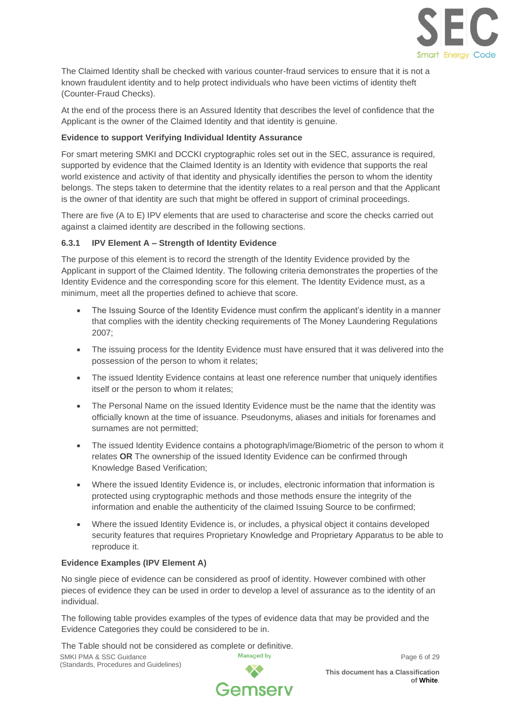

The Claimed Identity shall be checked with various counter-fraud services to ensure that it is not a known fraudulent identity and to help protect individuals who have been victims of identity theft (Counter-Fraud Checks).

At the end of the process there is an Assured Identity that describes the level of confidence that the Applicant is the owner of the Claimed Identity and that identity is genuine.

#### **Evidence to support Verifying Individual Identity Assurance**

For smart metering SMKI and DCCKI cryptographic roles set out in the SEC, assurance is required, supported by evidence that the Claimed Identity is an Identity with evidence that supports the real world existence and activity of that identity and physically identifies the person to whom the identity belongs. The steps taken to determine that the identity relates to a real person and that the Applicant is the owner of that identity are such that might be offered in support of criminal proceedings.

There are five (A to E) IPV elements that are used to characterise and score the checks carried out against a claimed identity are described in the following sections.

#### **6.3.1 IPV Element A – Strength of Identity Evidence**

The purpose of this element is to record the strength of the Identity Evidence provided by the Applicant in support of the Claimed Identity. The following criteria demonstrates the properties of the Identity Evidence and the corresponding score for this element. The Identity Evidence must, as a minimum, meet all the properties defined to achieve that score.

- The Issuing Source of the Identity Evidence must confirm the applicant's identity in a manner that complies with the identity checking requirements of The Money Laundering Regulations 2007;
- The issuing process for the Identity Evidence must have ensured that it was delivered into the possession of the person to whom it relates;
- The issued Identity Evidence contains at least one reference number that uniquely identifies itself or the person to whom it relates;
- The Personal Name on the issued Identity Evidence must be the name that the identity was officially known at the time of issuance. Pseudonyms, aliases and initials for forenames and surnames are not permitted;
- The issued Identity Evidence contains a photograph/image/Biometric of the person to whom it relates **OR** The ownership of the issued Identity Evidence can be confirmed through Knowledge Based Verification;
- Where the issued Identity Evidence is, or includes, electronic information that information is protected using cryptographic methods and those methods ensure the integrity of the information and enable the authenticity of the claimed Issuing Source to be confirmed;
- Where the issued Identity Evidence is, or includes, a physical object it contains developed security features that requires Proprietary Knowledge and Proprietary Apparatus to be able to reproduce it.

#### **Evidence Examples (IPV Element A)**

No single piece of evidence can be considered as proof of identity. However combined with other pieces of evidence they can be used in order to develop a level of assurance as to the identity of an individual.

The following table provides examples of the types of evidence data that may be provided and the Evidence Categories they could be considered to be in.

The Table should not be considered as complete or definitive.

SMKI PMA & SSC Guidance (Standards, Procedures and Guidelines)



Page 6 of 29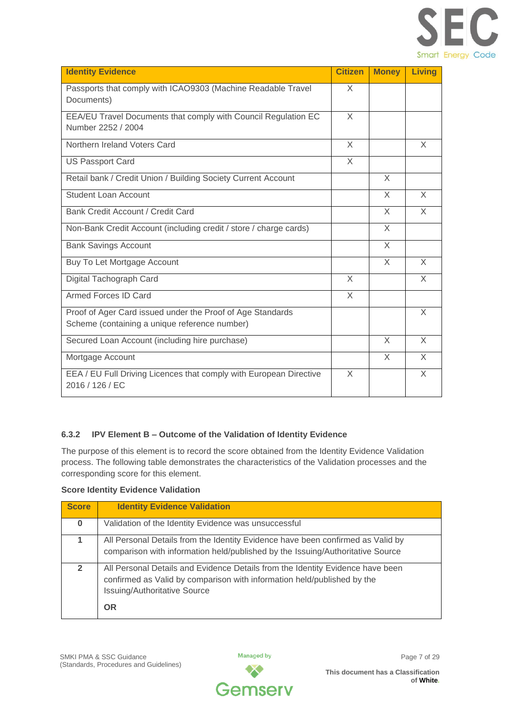

| <b>Identity Evidence</b>                                                                                    | <b>Citizen</b> | <b>Money</b> | <b>Living</b> |
|-------------------------------------------------------------------------------------------------------------|----------------|--------------|---------------|
| Passports that comply with ICAO9303 (Machine Readable Travel<br>Documents)                                  | X              |              |               |
| EEA/EU Travel Documents that comply with Council Regulation EC<br>Number 2252 / 2004                        | $\chi$         |              |               |
| Northern Ireland Voters Card                                                                                | X              |              | X             |
| <b>US Passport Card</b>                                                                                     | X              |              |               |
| Retail bank / Credit Union / Building Society Current Account                                               |                | X            |               |
| <b>Student Loan Account</b>                                                                                 |                | X            | X             |
| Bank Credit Account / Credit Card                                                                           |                | X            | $\chi$        |
| Non-Bank Credit Account (including credit / store / charge cards)                                           |                | X            |               |
| <b>Bank Savings Account</b>                                                                                 |                | X            |               |
| Buy To Let Mortgage Account                                                                                 |                | X            | X             |
| Digital Tachograph Card                                                                                     | X              |              | X             |
| Armed Forces ID Card                                                                                        | X              |              |               |
| Proof of Ager Card issued under the Proof of Age Standards<br>Scheme (containing a unique reference number) |                |              | $\times$      |
| Secured Loan Account (including hire purchase)                                                              |                | X            | X             |
| Mortgage Account                                                                                            |                | X            | $\times$      |
| EEA / EU Full Driving Licences that comply with European Directive<br>2016 / 126 / EC                       | X              |              | X             |

#### **6.3.2 IPV Element B – Outcome of the Validation of Identity Evidence**

The purpose of this element is to record the score obtained from the Identity Evidence Validation process. The following table demonstrates the characteristics of the Validation processes and the corresponding score for this element.

#### **Score Identity Evidence Validation**

| <b>Score</b>  | <b>Identity Evidence Validation</b>                                                                                                                                                                           |
|---------------|---------------------------------------------------------------------------------------------------------------------------------------------------------------------------------------------------------------|
| $\bf{0}$      | Validation of the Identity Evidence was unsuccessful                                                                                                                                                          |
| 1             | All Personal Details from the Identity Evidence have been confirmed as Valid by<br>comparison with information held/published by the Issuing/Authoritative Source                                             |
| $\mathcal{P}$ | All Personal Details and Evidence Details from the Identity Evidence have been<br>confirmed as Valid by comparison with information held/published by the<br><b>Issuing/Authoritative Source</b><br><b>OR</b> |



Page 7 of 29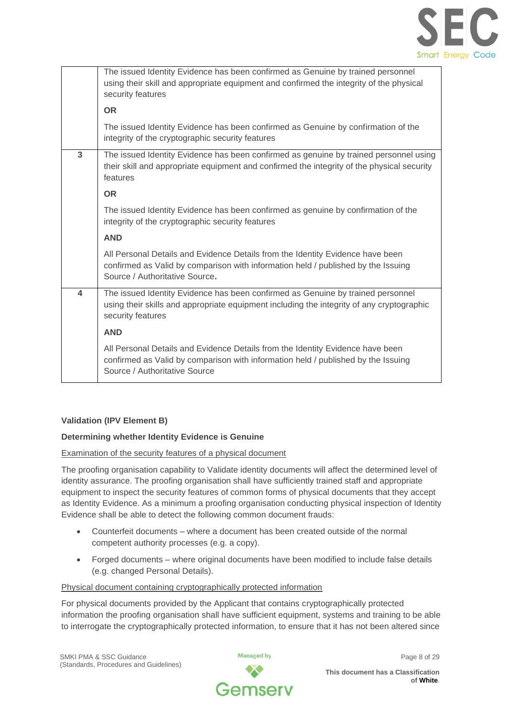

|                | The issued Identity Evidence has been confirmed as Genuine by trained personnel<br>using their skill and appropriate equipment and confirmed the integrity of the physical<br>security features<br><b>OR</b><br>The issued Identity Evidence has been confirmed as Genuine by confirmation of the<br>integrity of the cryptographic security features |
|----------------|-------------------------------------------------------------------------------------------------------------------------------------------------------------------------------------------------------------------------------------------------------------------------------------------------------------------------------------------------------|
| $\overline{3}$ | The issued Identity Evidence has been confirmed as genuine by trained personnel using<br>their skill and appropriate equipment and confirmed the integrity of the physical security<br>features<br><b>OR</b>                                                                                                                                          |
|                | The issued Identity Evidence has been confirmed as genuine by confirmation of the<br>integrity of the cryptographic security features                                                                                                                                                                                                                 |
|                | <b>AND</b>                                                                                                                                                                                                                                                                                                                                            |
|                | All Personal Details and Evidence Details from the Identity Evidence have been<br>confirmed as Valid by comparison with information held / published by the Issuing<br>Source / Authoritative Source.                                                                                                                                                 |
| 4              | The issued Identity Evidence has been confirmed as Genuine by trained personnel<br>using their skills and appropriate equipment including the integrity of any cryptographic<br>security features                                                                                                                                                     |
|                | <b>AND</b>                                                                                                                                                                                                                                                                                                                                            |
|                | All Personal Details and Evidence Details from the Identity Evidence have been<br>confirmed as Valid by comparison with information held / published by the Issuing<br>Source / Authoritative Source                                                                                                                                                  |

#### **Validation (IPV Element B)**

#### **Determining whether Identity Evidence is Genuine**

Examination of the security features of a physical document

The proofing organisation capability to Validate identity documents will affect the determined level of identity assurance. The proofing organisation shall have sufficiently trained staff and appropriate equipment to inspect the security features of common forms of physical documents that they accept as Identity Evidence. As a minimum a proofing organisation conducting physical inspection of Identity Evidence shall be able to detect the following common document frauds:

- Counterfeit documents where a document has been created outside of the normal competent authority processes (e.g. a copy).
- Forged documents where original documents have been modified to include false details (e.g. changed Personal Details).

#### Physical document containing cryptographically protected information

For physical documents provided by the Applicant that contains cryptographically protected information the proofing organisation shall have sufficient equipment, systems and training to be able to interrogate the cryptographically protected information, to ensure that it has not been altered since



Page 8 of 29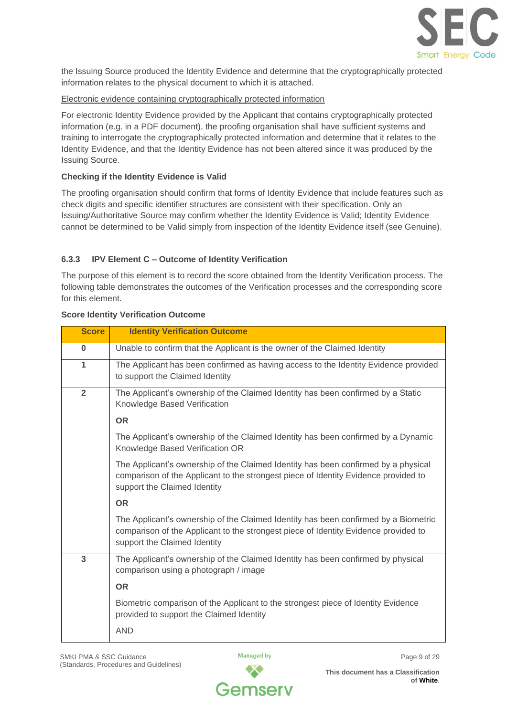

the Issuing Source produced the Identity Evidence and determine that the cryptographically protected information relates to the physical document to which it is attached.

#### Electronic evidence containing cryptographically protected information

For electronic Identity Evidence provided by the Applicant that contains cryptographically protected information (e.g. in a PDF document), the proofing organisation shall have sufficient systems and training to interrogate the cryptographically protected information and determine that it relates to the Identity Evidence, and that the Identity Evidence has not been altered since it was produced by the Issuing Source.

#### **Checking if the Identity Evidence is Valid**

The proofing organisation should confirm that forms of Identity Evidence that include features such as check digits and specific identifier structures are consistent with their specification. Only an Issuing/Authoritative Source may confirm whether the Identity Evidence is Valid; Identity Evidence cannot be determined to be Valid simply from inspection of the Identity Evidence itself (see Genuine).

#### **6.3.3 IPV Element C – Outcome of Identity Verification**

The purpose of this element is to record the score obtained from the Identity Verification process. The following table demonstrates the outcomes of the Verification processes and the corresponding score for this element.

| <b>Score</b>   | <b>Identity Verification Outcome</b>                                                                                                                                                                       |  |
|----------------|------------------------------------------------------------------------------------------------------------------------------------------------------------------------------------------------------------|--|
| $\bf{0}$       | Unable to confirm that the Applicant is the owner of the Claimed Identity                                                                                                                                  |  |
| $\mathbf{1}$   | The Applicant has been confirmed as having access to the Identity Evidence provided<br>to support the Claimed Identity                                                                                     |  |
| $\overline{2}$ | The Applicant's ownership of the Claimed Identity has been confirmed by a Static<br>Knowledge Based Verification                                                                                           |  |
|                | <b>OR</b>                                                                                                                                                                                                  |  |
|                | The Applicant's ownership of the Claimed Identity has been confirmed by a Dynamic<br>Knowledge Based Verification OR                                                                                       |  |
|                | The Applicant's ownership of the Claimed Identity has been confirmed by a physical<br>comparison of the Applicant to the strongest piece of Identity Evidence provided to<br>support the Claimed Identity  |  |
|                | <b>OR</b>                                                                                                                                                                                                  |  |
|                | The Applicant's ownership of the Claimed Identity has been confirmed by a Biometric<br>comparison of the Applicant to the strongest piece of Identity Evidence provided to<br>support the Claimed Identity |  |
| $\overline{3}$ | The Applicant's ownership of the Claimed Identity has been confirmed by physical<br>comparison using a photograph / image                                                                                  |  |
|                | <b>OR</b>                                                                                                                                                                                                  |  |
|                | Biometric comparison of the Applicant to the strongest piece of Identity Evidence<br>provided to support the Claimed Identity                                                                              |  |
|                | <b>AND</b>                                                                                                                                                                                                 |  |

#### **Score Identity Verification Outcome**



Page 9 of 29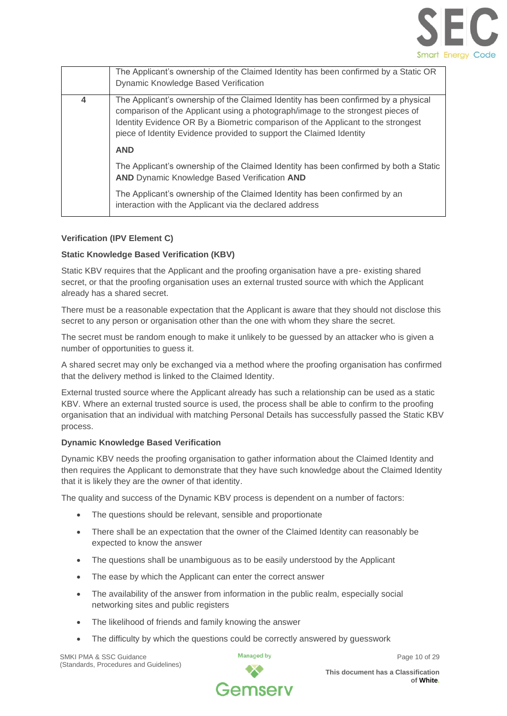

|                                                                                                                                                                                                                                                                                                                                       | The Applicant's ownership of the Claimed Identity has been confirmed by a Static OR<br>Dynamic Knowledge Based Verification                  |  |  |
|---------------------------------------------------------------------------------------------------------------------------------------------------------------------------------------------------------------------------------------------------------------------------------------------------------------------------------------|----------------------------------------------------------------------------------------------------------------------------------------------|--|--|
| The Applicant's ownership of the Claimed Identity has been confirmed by a physical<br>4<br>comparison of the Applicant using a photograph/image to the strongest pieces of<br>Identity Evidence OR By a Biometric comparison of the Applicant to the strongest<br>piece of Identity Evidence provided to support the Claimed Identity |                                                                                                                                              |  |  |
|                                                                                                                                                                                                                                                                                                                                       | <b>AND</b>                                                                                                                                   |  |  |
|                                                                                                                                                                                                                                                                                                                                       | The Applicant's ownership of the Claimed Identity has been confirmed by both a Static<br><b>AND Dynamic Knowledge Based Verification AND</b> |  |  |
|                                                                                                                                                                                                                                                                                                                                       | The Applicant's ownership of the Claimed Identity has been confirmed by an<br>interaction with the Applicant via the declared address        |  |  |

#### **Verification (IPV Element C)**

#### **Static Knowledge Based Verification (KBV)**

Static KBV requires that the Applicant and the proofing organisation have a pre- existing shared secret, or that the proofing organisation uses an external trusted source with which the Applicant already has a shared secret.

There must be a reasonable expectation that the Applicant is aware that they should not disclose this secret to any person or organisation other than the one with whom they share the secret.

The secret must be random enough to make it unlikely to be guessed by an attacker who is given a number of opportunities to guess it.

A shared secret may only be exchanged via a method where the proofing organisation has confirmed that the delivery method is linked to the Claimed Identity.

External trusted source where the Applicant already has such a relationship can be used as a static KBV. Where an external trusted source is used, the process shall be able to confirm to the proofing organisation that an individual with matching Personal Details has successfully passed the Static KBV process.

#### **Dynamic Knowledge Based Verification**

Dynamic KBV needs the proofing organisation to gather information about the Claimed Identity and then requires the Applicant to demonstrate that they have such knowledge about the Claimed Identity that it is likely they are the owner of that identity.

The quality and success of the Dynamic KBV process is dependent on a number of factors:

- The questions should be relevant, sensible and proportionate
- There shall be an expectation that the owner of the Claimed Identity can reasonably be expected to know the answer
- The questions shall be unambiguous as to be easily understood by the Applicant
- The ease by which the Applicant can enter the correct answer
- The availability of the answer from information in the public realm, especially social networking sites and public registers
- The likelihood of friends and family knowing the answer
- The difficulty by which the questions could be correctly answered by quesswork

SMKI PMA & SSC Guidance (Standards, Procedures and Guidelines) Managed by

Page 10 of 29

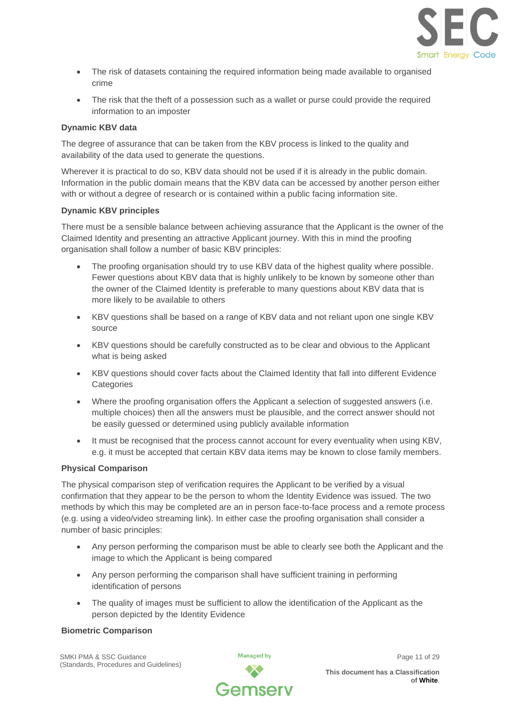

- The risk of datasets containing the required information being made available to organised crime
- The risk that the theft of a possession such as a wallet or purse could provide the required information to an imposter

#### **Dynamic KBV data**

The degree of assurance that can be taken from the KBV process is linked to the quality and availability of the data used to generate the questions.

Wherever it is practical to do so, KBV data should not be used if it is already in the public domain. Information in the public domain means that the KBV data can be accessed by another person either with or without a degree of research or is contained within a public facing information site.

#### **Dynamic KBV principles**

There must be a sensible balance between achieving assurance that the Applicant is the owner of the Claimed Identity and presenting an attractive Applicant journey. With this in mind the proofing organisation shall follow a number of basic KBV principles:

- The proofing organisation should try to use KBV data of the highest quality where possible. Fewer questions about KBV data that is highly unlikely to be known by someone other than the owner of the Claimed Identity is preferable to many questions about KBV data that is more likely to be available to others
- KBV questions shall be based on a range of KBV data and not reliant upon one single KBV source
- KBV questions should be carefully constructed as to be clear and obvious to the Applicant what is being asked
- KBV questions should cover facts about the Claimed Identity that fall into different Evidence **Categories**
- Where the proofing organisation offers the Applicant a selection of suggested answers (i.e. multiple choices) then all the answers must be plausible, and the correct answer should not be easily guessed or determined using publicly available information
- It must be recognised that the process cannot account for every eventuality when using KBV, e.g. it must be accepted that certain KBV data items may be known to close family members.

#### **Physical Comparison**

The physical comparison step of verification requires the Applicant to be verified by a visual confirmation that they appear to be the person to whom the Identity Evidence was issued. The two methods by which this may be completed are an in person face-to-face process and a remote process (e.g. using a video/video streaming link). In either case the proofing organisation shall consider a number of basic principles:

- Any person performing the comparison must be able to clearly see both the Applicant and the image to which the Applicant is being compared
- Any person performing the comparison shall have sufficient training in performing identification of persons
- The quality of images must be sufficient to allow the identification of the Applicant as the person depicted by the Identity Evidence

#### **Biometric Comparison**

SMKI PMA & SSC Guidance (Standards, Procedures and Guidelines)



Page 11 of 29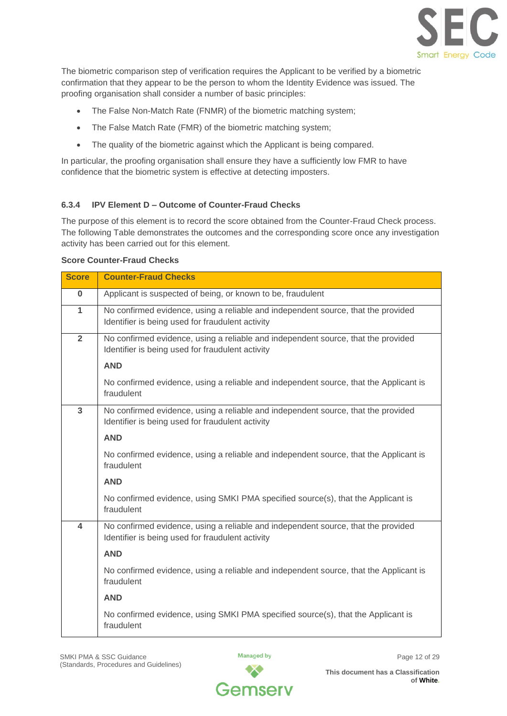

The biometric comparison step of verification requires the Applicant to be verified by a biometric confirmation that they appear to be the person to whom the Identity Evidence was issued. The proofing organisation shall consider a number of basic principles:

- The False Non-Match Rate (FNMR) of the biometric matching system;
- The False Match Rate (FMR) of the biometric matching system;
- The quality of the biometric against which the Applicant is being compared.

In particular, the proofing organisation shall ensure they have a sufficiently low FMR to have confidence that the biometric system is effective at detecting imposters.

## **6.3.4 IPV Element D – Outcome of Counter-Fraud Checks**

The purpose of this element is to record the score obtained from the Counter-Fraud Check process. The following Table demonstrates the outcomes and the corresponding score once any investigation activity has been carried out for this element.

| <b>Score</b>   | <b>Counter-Fraud Checks</b>                                                                                                           |
|----------------|---------------------------------------------------------------------------------------------------------------------------------------|
| $\bf{0}$       | Applicant is suspected of being, or known to be, fraudulent                                                                           |
| 1              | No confirmed evidence, using a reliable and independent source, that the provided<br>Identifier is being used for fraudulent activity |
| $\overline{2}$ | No confirmed evidence, using a reliable and independent source, that the provided<br>Identifier is being used for fraudulent activity |
|                | <b>AND</b>                                                                                                                            |
|                | No confirmed evidence, using a reliable and independent source, that the Applicant is<br>fraudulent                                   |
| $\overline{3}$ | No confirmed evidence, using a reliable and independent source, that the provided<br>Identifier is being used for fraudulent activity |
|                | <b>AND</b>                                                                                                                            |
|                | No confirmed evidence, using a reliable and independent source, that the Applicant is<br>fraudulent                                   |
|                | <b>AND</b>                                                                                                                            |
|                | No confirmed evidence, using SMKI PMA specified source(s), that the Applicant is<br>fraudulent                                        |
| 4              | No confirmed evidence, using a reliable and independent source, that the provided<br>Identifier is being used for fraudulent activity |
|                | <b>AND</b>                                                                                                                            |
|                | No confirmed evidence, using a reliable and independent source, that the Applicant is<br>fraudulent                                   |
|                | <b>AND</b>                                                                                                                            |
|                | No confirmed evidence, using SMKI PMA specified source(s), that the Applicant is<br>fraudulent                                        |

#### **Score Counter-Fraud Checks**



Gemserv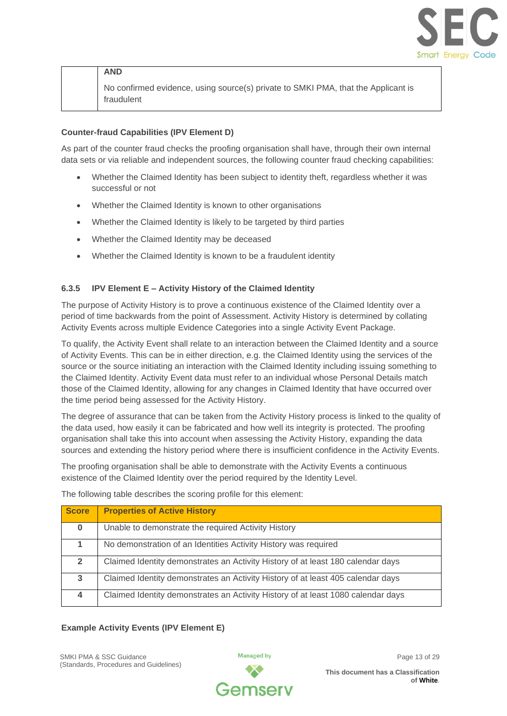

## **AND**

No confirmed evidence, using source(s) private to SMKI PMA, that the Applicant is fraudulent

#### **Counter-fraud Capabilities (IPV Element D)**

As part of the counter fraud checks the proofing organisation shall have, through their own internal data sets or via reliable and independent sources, the following counter fraud checking capabilities:

- Whether the Claimed Identity has been subject to identity theft, regardless whether it was successful or not
- Whether the Claimed Identity is known to other organisations
- Whether the Claimed Identity is likely to be targeted by third parties
- Whether the Claimed Identity may be deceased
- Whether the Claimed Identity is known to be a fraudulent identity

#### **6.3.5 IPV Element E – Activity History of the Claimed Identity**

The purpose of Activity History is to prove a continuous existence of the Claimed Identity over a period of time backwards from the point of Assessment. Activity History is determined by collating Activity Events across multiple Evidence Categories into a single Activity Event Package.

To qualify, the Activity Event shall relate to an interaction between the Claimed Identity and a source of Activity Events. This can be in either direction, e.g. the Claimed Identity using the services of the source or the source initiating an interaction with the Claimed Identity including issuing something to the Claimed Identity. Activity Event data must refer to an individual whose Personal Details match those of the Claimed Identity, allowing for any changes in Claimed Identity that have occurred over the time period being assessed for the Activity History.

The degree of assurance that can be taken from the Activity History process is linked to the quality of the data used, how easily it can be fabricated and how well its integrity is protected. The proofing organisation shall take this into account when assessing the Activity History, expanding the data sources and extending the history period where there is insufficient confidence in the Activity Events.

The proofing organisation shall be able to demonstrate with the Activity Events a continuous existence of the Claimed Identity over the period required by the Identity Level.

| <b>Score</b>   | <b>Properties of Active History</b>                                              |
|----------------|----------------------------------------------------------------------------------|
| $\bf{0}$       | Unable to demonstrate the required Activity History                              |
|                | No demonstration of an Identities Activity History was required                  |
| $\overline{2}$ | Claimed Identity demonstrates an Activity History of at least 180 calendar days  |
| 3              | Claimed Identity demonstrates an Activity History of at least 405 calendar days  |
| 4              | Claimed Identity demonstrates an Activity History of at least 1080 calendar days |

The following table describes the scoring profile for this element:

#### **Example Activity Events (IPV Element E)**



Page 13 of 29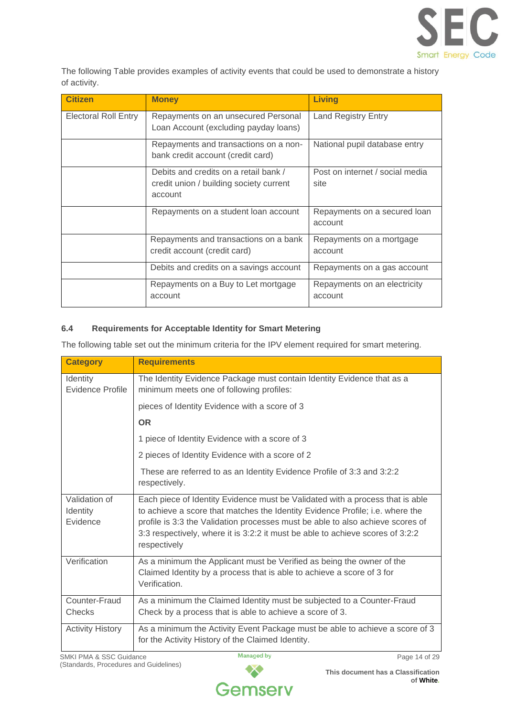

The following Table provides examples of activity events that could be used to demonstrate a history of activity.

| <b>Citizen</b>              | <b>Money</b>                                                                                | Living                                  |
|-----------------------------|---------------------------------------------------------------------------------------------|-----------------------------------------|
| <b>Electoral Roll Entry</b> | Repayments on an unsecured Personal<br>Loan Account (excluding payday loans)                | <b>Land Registry Entry</b>              |
|                             | Repayments and transactions on a non-<br>bank credit account (credit card)                  | National pupil database entry           |
|                             | Debits and credits on a retail bank /<br>credit union / building society current<br>account | Post on internet / social media<br>site |
|                             | Repayments on a student loan account                                                        | Repayments on a secured loan<br>account |
|                             | Repayments and transactions on a bank<br>credit account (credit card)                       | Repayments on a mortgage<br>account     |
|                             | Debits and credits on a savings account                                                     | Repayments on a gas account             |
|                             | Repayments on a Buy to Let mortgage<br>account                                              | Repayments on an electricity<br>account |

#### **6.4 Requirements for Acceptable Identity for Smart Metering**

The following table set out the minimum criteria for the IPV element required for smart metering.

| <b>Category</b>                       | <b>Requirements</b>                                                                                                                                                                                                                                                                                                                                |
|---------------------------------------|----------------------------------------------------------------------------------------------------------------------------------------------------------------------------------------------------------------------------------------------------------------------------------------------------------------------------------------------------|
| Identity<br><b>Evidence Profile</b>   | The Identity Evidence Package must contain Identity Evidence that as a<br>minimum meets one of following profiles:                                                                                                                                                                                                                                 |
|                                       | pieces of Identity Evidence with a score of 3                                                                                                                                                                                                                                                                                                      |
|                                       | <b>OR</b>                                                                                                                                                                                                                                                                                                                                          |
|                                       | 1 piece of Identity Evidence with a score of 3                                                                                                                                                                                                                                                                                                     |
|                                       | 2 pieces of Identity Evidence with a score of 2                                                                                                                                                                                                                                                                                                    |
|                                       | These are referred to as an Identity Evidence Profile of 3:3 and 3:2:2<br>respectively.                                                                                                                                                                                                                                                            |
| Validation of<br>Identity<br>Evidence | Each piece of Identity Evidence must be Validated with a process that is able<br>to achieve a score that matches the Identity Evidence Profile; i.e. where the<br>profile is 3:3 the Validation processes must be able to also achieve scores of<br>3:3 respectively, where it is 3:2:2 it must be able to achieve scores of 3:2:2<br>respectively |
| Verification                          | As a minimum the Applicant must be Verified as being the owner of the<br>Claimed Identity by a process that is able to achieve a score of 3 for<br>Verification.                                                                                                                                                                                   |
| Counter-Fraud<br>Checks               | As a minimum the Claimed Identity must be subjected to a Counter-Fraud<br>Check by a process that is able to achieve a score of 3.                                                                                                                                                                                                                 |
| <b>Activity History</b>               | As a minimum the Activity Event Package must be able to achieve a score of 3<br>for the Activity History of the Claimed Identity.                                                                                                                                                                                                                  |
| SMKI PMA & SSC Guidance               | Managed by<br>Page 14 of 29                                                                                                                                                                                                                                                                                                                        |

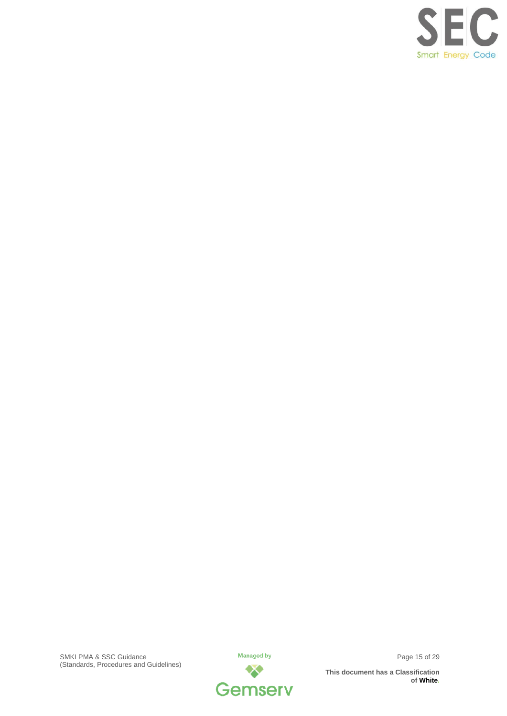

SMKI PMA & SSC Guidance (Standards, Procedures and Guidelines) Managed by



Page 15 of 29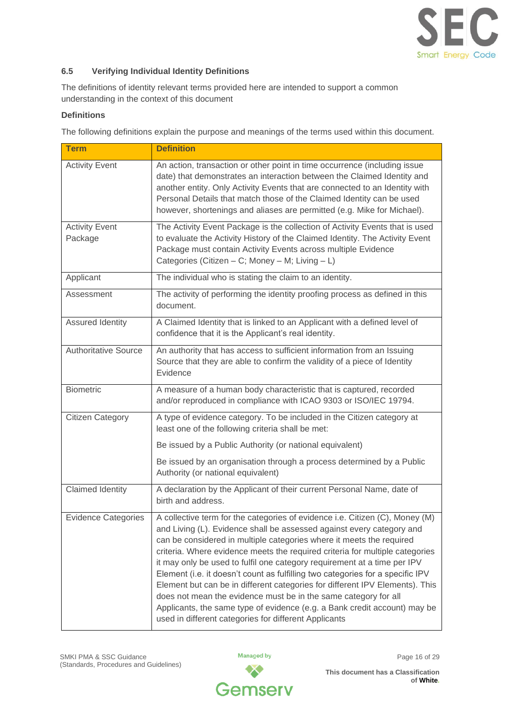

#### **6.5 Verifying Individual Identity Definitions**

The definitions of identity relevant terms provided here are intended to support a common understanding in the context of this document

#### **Definitions**

The following definitions explain the purpose and meanings of the terms used within this document.

| <b>Term</b>                      | <b>Definition</b>                                                                                                                                                                                                                                                                                                                                                                                                                                                                                                                                                                                                                                                                                                                                                    |
|----------------------------------|----------------------------------------------------------------------------------------------------------------------------------------------------------------------------------------------------------------------------------------------------------------------------------------------------------------------------------------------------------------------------------------------------------------------------------------------------------------------------------------------------------------------------------------------------------------------------------------------------------------------------------------------------------------------------------------------------------------------------------------------------------------------|
| <b>Activity Event</b>            | An action, transaction or other point in time occurrence (including issue<br>date) that demonstrates an interaction between the Claimed Identity and<br>another entity. Only Activity Events that are connected to an Identity with<br>Personal Details that match those of the Claimed Identity can be used<br>however, shortenings and aliases are permitted (e.g. Mike for Michael).                                                                                                                                                                                                                                                                                                                                                                              |
| <b>Activity Event</b><br>Package | The Activity Event Package is the collection of Activity Events that is used<br>to evaluate the Activity History of the Claimed Identity. The Activity Event<br>Package must contain Activity Events across multiple Evidence<br>Categories (Citizen - C; Money - M; Living - L)                                                                                                                                                                                                                                                                                                                                                                                                                                                                                     |
| Applicant                        | The individual who is stating the claim to an identity.                                                                                                                                                                                                                                                                                                                                                                                                                                                                                                                                                                                                                                                                                                              |
| Assessment                       | The activity of performing the identity proofing process as defined in this<br>document.                                                                                                                                                                                                                                                                                                                                                                                                                                                                                                                                                                                                                                                                             |
| Assured Identity                 | A Claimed Identity that is linked to an Applicant with a defined level of<br>confidence that it is the Applicant's real identity.                                                                                                                                                                                                                                                                                                                                                                                                                                                                                                                                                                                                                                    |
| <b>Authoritative Source</b>      | An authority that has access to sufficient information from an Issuing<br>Source that they are able to confirm the validity of a piece of Identity<br>Evidence                                                                                                                                                                                                                                                                                                                                                                                                                                                                                                                                                                                                       |
| <b>Biometric</b>                 | A measure of a human body characteristic that is captured, recorded<br>and/or reproduced in compliance with ICAO 9303 or ISO/IEC 19794.                                                                                                                                                                                                                                                                                                                                                                                                                                                                                                                                                                                                                              |
| <b>Citizen Category</b>          | A type of evidence category. To be included in the Citizen category at<br>least one of the following criteria shall be met:                                                                                                                                                                                                                                                                                                                                                                                                                                                                                                                                                                                                                                          |
|                                  | Be issued by a Public Authority (or national equivalent)                                                                                                                                                                                                                                                                                                                                                                                                                                                                                                                                                                                                                                                                                                             |
|                                  | Be issued by an organisation through a process determined by a Public<br>Authority (or national equivalent)                                                                                                                                                                                                                                                                                                                                                                                                                                                                                                                                                                                                                                                          |
| <b>Claimed Identity</b>          | A declaration by the Applicant of their current Personal Name, date of<br>birth and address.                                                                                                                                                                                                                                                                                                                                                                                                                                                                                                                                                                                                                                                                         |
| <b>Evidence Categories</b>       | A collective term for the categories of evidence i.e. Citizen (C), Money (M)<br>and Living (L). Evidence shall be assessed against every category and<br>can be considered in multiple categories where it meets the required<br>criteria. Where evidence meets the required criteria for multiple categories<br>it may only be used to fulfil one category requirement at a time per IPV<br>Element (i.e. it doesn't count as fulfilling two categories for a specific IPV<br>Element but can be in different categories for different IPV Elements). This<br>does not mean the evidence must be in the same category for all<br>Applicants, the same type of evidence (e.g. a Bank credit account) may be<br>used in different categories for different Applicants |

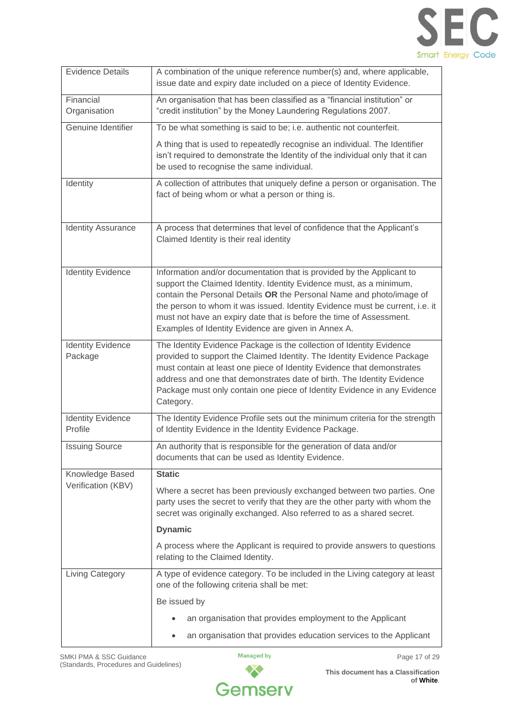

| <b>Evidence Details</b>             | A combination of the unique reference number(s) and, where applicable,<br>issue date and expiry date included on a piece of Identity Evidence.                                                                                                                                                                                                                                                                                     |
|-------------------------------------|------------------------------------------------------------------------------------------------------------------------------------------------------------------------------------------------------------------------------------------------------------------------------------------------------------------------------------------------------------------------------------------------------------------------------------|
| Financial<br>Organisation           | An organisation that has been classified as a "financial institution" or<br>"credit institution" by the Money Laundering Regulations 2007.                                                                                                                                                                                                                                                                                         |
| Genuine Identifier                  | To be what something is said to be; i.e. authentic not counterfeit.                                                                                                                                                                                                                                                                                                                                                                |
|                                     | A thing that is used to repeatedly recognise an individual. The Identifier<br>isn't required to demonstrate the Identity of the individual only that it can<br>be used to recognise the same individual.                                                                                                                                                                                                                           |
| Identity                            | A collection of attributes that uniquely define a person or organisation. The<br>fact of being whom or what a person or thing is.                                                                                                                                                                                                                                                                                                  |
| <b>Identity Assurance</b>           | A process that determines that level of confidence that the Applicant's<br>Claimed Identity is their real identity                                                                                                                                                                                                                                                                                                                 |
| <b>Identity Evidence</b>            | Information and/or documentation that is provided by the Applicant to<br>support the Claimed Identity. Identity Evidence must, as a minimum,<br>contain the Personal Details OR the Personal Name and photo/image of<br>the person to whom it was issued. Identity Evidence must be current, i.e. it<br>must not have an expiry date that is before the time of Assessment.<br>Examples of Identity Evidence are given in Annex A. |
| <b>Identity Evidence</b><br>Package | The Identity Evidence Package is the collection of Identity Evidence<br>provided to support the Claimed Identity. The Identity Evidence Package<br>must contain at least one piece of Identity Evidence that demonstrates<br>address and one that demonstrates date of birth. The Identity Evidence<br>Package must only contain one piece of Identity Evidence in any Evidence<br>Category.                                       |
| <b>Identity Evidence</b><br>Profile | The Identity Evidence Profile sets out the minimum criteria for the strength<br>of Identity Evidence in the Identity Evidence Package.                                                                                                                                                                                                                                                                                             |
| <b>Issuing Source</b>               | An authority that is responsible for the generation of data and/or<br>documents that can be used as Identity Evidence.                                                                                                                                                                                                                                                                                                             |
| Knowledge Based                     | <b>Static</b>                                                                                                                                                                                                                                                                                                                                                                                                                      |
| Verification (KBV)                  | Where a secret has been previously exchanged between two parties. One<br>party uses the secret to verify that they are the other party with whom the<br>secret was originally exchanged. Also referred to as a shared secret.                                                                                                                                                                                                      |
|                                     | <b>Dynamic</b>                                                                                                                                                                                                                                                                                                                                                                                                                     |
|                                     | A process where the Applicant is required to provide answers to questions<br>relating to the Claimed Identity.                                                                                                                                                                                                                                                                                                                     |
| Living Category                     | A type of evidence category. To be included in the Living category at least<br>one of the following criteria shall be met:                                                                                                                                                                                                                                                                                                         |
|                                     | Be issued by                                                                                                                                                                                                                                                                                                                                                                                                                       |
|                                     | an organisation that provides employment to the Applicant                                                                                                                                                                                                                                                                                                                                                                          |
|                                     | an organisation that provides education services to the Applicant                                                                                                                                                                                                                                                                                                                                                                  |



Gemserv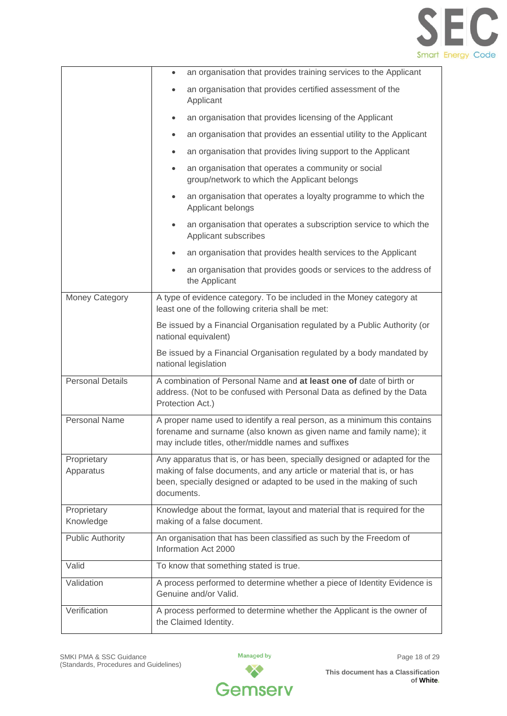

|                          | an organisation that provides training services to the Applicant<br>$\bullet$                                                                                                                                                             |
|--------------------------|-------------------------------------------------------------------------------------------------------------------------------------------------------------------------------------------------------------------------------------------|
|                          | an organisation that provides certified assessment of the<br>٠<br>Applicant                                                                                                                                                               |
|                          | an organisation that provides licensing of the Applicant<br>$\bullet$                                                                                                                                                                     |
|                          | an organisation that provides an essential utility to the Applicant<br>$\bullet$                                                                                                                                                          |
|                          | an organisation that provides living support to the Applicant<br>$\bullet$                                                                                                                                                                |
|                          | an organisation that operates a community or social<br>٠<br>group/network to which the Applicant belongs                                                                                                                                  |
|                          | an organisation that operates a loyalty programme to which the<br>$\bullet$<br>Applicant belongs                                                                                                                                          |
|                          | an organisation that operates a subscription service to which the<br>$\bullet$<br>Applicant subscribes                                                                                                                                    |
|                          | an organisation that provides health services to the Applicant<br>$\bullet$                                                                                                                                                               |
|                          | an organisation that provides goods or services to the address of<br>the Applicant                                                                                                                                                        |
| Money Category           | A type of evidence category. To be included in the Money category at<br>least one of the following criteria shall be met:                                                                                                                 |
|                          | Be issued by a Financial Organisation regulated by a Public Authority (or<br>national equivalent)                                                                                                                                         |
|                          | Be issued by a Financial Organisation regulated by a body mandated by<br>national legislation                                                                                                                                             |
| <b>Personal Details</b>  | A combination of Personal Name and at least one of date of birth or<br>address. (Not to be confused with Personal Data as defined by the Data<br>Protection Act.)                                                                         |
| <b>Personal Name</b>     | A proper name used to identify a real person, as a minimum this contains<br>forename and surname (also known as given name and family name); it<br>may include titles, other/middle names and suffixes                                    |
| Proprietary<br>Apparatus | Any apparatus that is, or has been, specially designed or adapted for the<br>making of false documents, and any article or material that is, or has<br>been, specially designed or adapted to be used in the making of such<br>documents. |
| Proprietary<br>Knowledge | Knowledge about the format, layout and material that is required for the<br>making of a false document.                                                                                                                                   |
| <b>Public Authority</b>  | An organisation that has been classified as such by the Freedom of<br>Information Act 2000                                                                                                                                                |
| Valid                    | To know that something stated is true.                                                                                                                                                                                                    |
| Validation               | A process performed to determine whether a piece of Identity Evidence is<br>Genuine and/or Valid.                                                                                                                                         |
| Verification             | A process performed to determine whether the Applicant is the owner of<br>the Claimed Identity.                                                                                                                                           |

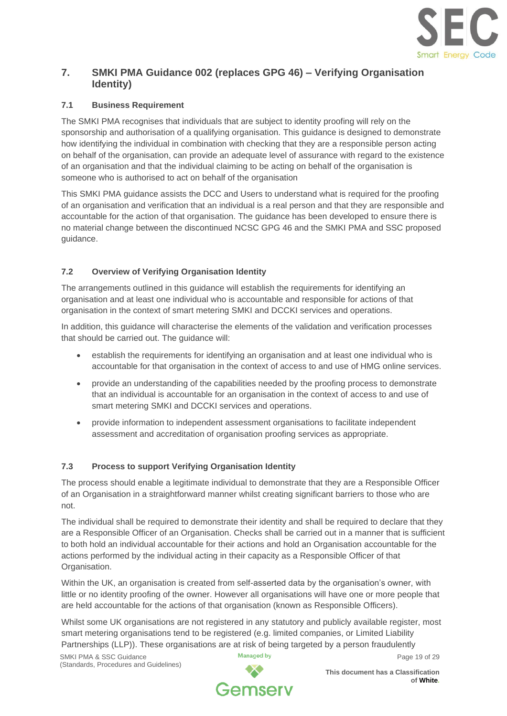

## <span id="page-18-0"></span>**7. SMKI PMA Guidance 002 (replaces GPG 46) – Verifying Organisation Identity)**

## **7.1 Business Requirement**

The SMKI PMA recognises that individuals that are subject to identity proofing will rely on the sponsorship and authorisation of a qualifying organisation. This guidance is designed to demonstrate how identifying the individual in combination with checking that they are a responsible person acting on behalf of the organisation, can provide an adequate level of assurance with regard to the existence of an organisation and that the individual claiming to be acting on behalf of the organisation is someone who is authorised to act on behalf of the organisation

This SMKI PMA guidance assists the DCC and Users to understand what is required for the proofing of an organisation and verification that an individual is a real person and that they are responsible and accountable for the action of that organisation. The guidance has been developed to ensure there is no material change between the discontinued NCSC GPG 46 and the SMKI PMA and SSC proposed guidance.

## **7.2 Overview of Verifying Organisation Identity**

The arrangements outlined in this guidance will establish the requirements for identifying an organisation and at least one individual who is accountable and responsible for actions of that organisation in the context of smart metering SMKI and DCCKI services and operations.

In addition, this guidance will characterise the elements of the validation and verification processes that should be carried out. The guidance will:

- establish the requirements for identifying an organisation and at least one individual who is accountable for that organisation in the context of access to and use of HMG online services.
- provide an understanding of the capabilities needed by the proofing process to demonstrate that an individual is accountable for an organisation in the context of access to and use of smart metering SMKI and DCCKI services and operations.
- provide information to independent assessment organisations to facilitate independent assessment and accreditation of organisation proofing services as appropriate.

#### **7.3 Process to support Verifying Organisation Identity**

The process should enable a legitimate individual to demonstrate that they are a Responsible Officer of an Organisation in a straightforward manner whilst creating significant barriers to those who are not.

The individual shall be required to demonstrate their identity and shall be required to declare that they are a Responsible Officer of an Organisation. Checks shall be carried out in a manner that is sufficient to both hold an individual accountable for their actions and hold an Organisation accountable for the actions performed by the individual acting in their capacity as a Responsible Officer of that Organisation.

Within the UK, an organisation is created from self-asserted data by the organisation's owner, with little or no identity proofing of the owner. However all organisations will have one or more people that are held accountable for the actions of that organisation (known as Responsible Officers).

Whilst some UK organisations are not registered in any statutory and publicly available register, most smart metering organisations tend to be registered (e.g. limited companies, or Limited Liability Partnerships (LLP)). These organisations are at risk of being targeted by a person fraudulently

SMKI PMA & SSC Guidance (Standards, Procedures and Guidelines)



Page 19 of 29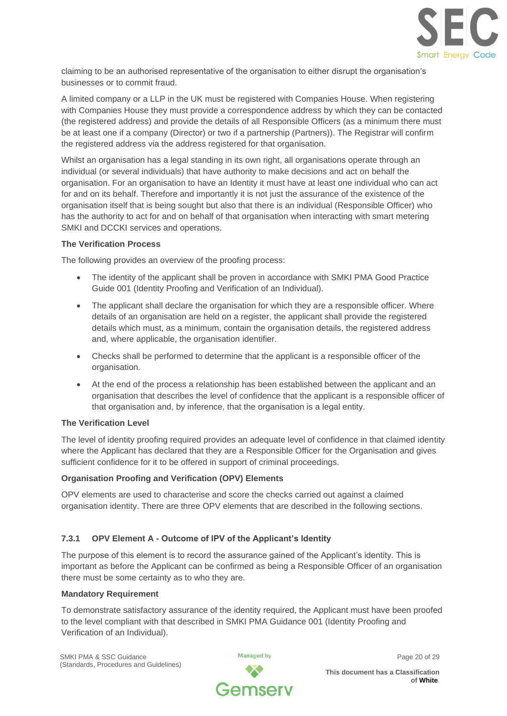

claiming to be an authorised representative of the organisation to either disrupt the organisation's businesses or to commit fraud.

A limited company or a LLP in the UK must be registered with Companies House. When registering with Companies House they must provide a correspondence address by which they can be contacted (the registered address) and provide the details of all Responsible Officers (as a minimum there must be at least one if a company (Director) or two if a partnership (Partners)). The Registrar will confirm the registered address via the address registered for that organisation.

Whilst an organisation has a legal standing in its own right, all organisations operate through an individual (or several individuals) that have authority to make decisions and act on behalf the organisation. For an organisation to have an Identity it must have at least one individual who can act for and on its behalf. Therefore and importantly it is not just the assurance of the existence of the organisation itself that is being sought but also that there is an individual (Responsible Officer) who has the authority to act for and on behalf of that organisation when interacting with smart metering SMKI and DCCKI services and operations.

#### **The Verification Process**

The following provides an overview of the proofing process:

- The identity of the applicant shall be proven in accordance with SMKI PMA Good Practice Guide 001 (Identity Proofing and Verification of an Individual).
- The applicant shall declare the organisation for which they are a responsible officer. Where details of an organisation are held on a register, the applicant shall provide the registered details which must, as a minimum, contain the organisation details, the registered address and, where applicable, the organisation identifier.
- Checks shall be performed to determine that the applicant is a responsible officer of the organisation.
- At the end of the process a relationship has been established between the applicant and an organisation that describes the level of confidence that the applicant is a responsible officer of that organisation and, by inference, that the organisation is a legal entity.

#### **The Verification Level**

The level of identity proofing required provides an adequate level of confidence in that claimed identity where the Applicant has declared that they are a Responsible Officer for the Organisation and gives sufficient confidence for it to be offered in support of criminal proceedings.

#### **Organisation Proofing and Verification (OPV) Elements**

OPV elements are used to characterise and score the checks carried out against a claimed organisation identity. There are three OPV elements that are described in the following sections.

#### **7.3.1 OPV Element A - Outcome of IPV of the Applicant's Identity**

The purpose of this element is to record the assurance gained of the Applicant's identity. This is important as before the Applicant can be confirmed as being a Responsible Officer of an organisation there must be some certainty as to who they are.

#### **Mandatory Requirement**

To demonstrate satisfactory assurance of the identity required, the Applicant must have been proofed to the level compliant with that described in SMKI PMA Guidance 001 (Identity Proofing and Verification of an Individual).

SMKI PMA & SSC Guidance (Standards, Procedures and Guidelines)



Page 20 of 29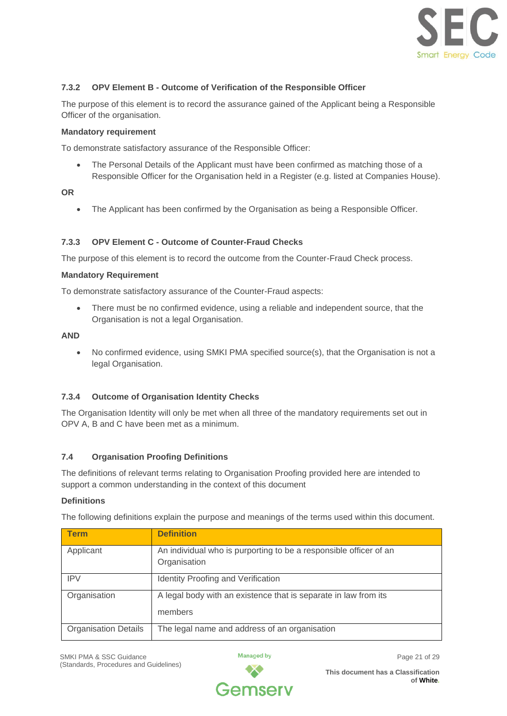

#### **7.3.2 OPV Element B - Outcome of Verification of the Responsible Officer**

The purpose of this element is to record the assurance gained of the Applicant being a Responsible Officer of the organisation.

#### **Mandatory requirement**

To demonstrate satisfactory assurance of the Responsible Officer:

• The Personal Details of the Applicant must have been confirmed as matching those of a Responsible Officer for the Organisation held in a Register (e.g. listed at Companies House).

#### **OR**

The Applicant has been confirmed by the Organisation as being a Responsible Officer.

#### **7.3.3 OPV Element C - Outcome of Counter-Fraud Checks**

The purpose of this element is to record the outcome from the Counter-Fraud Check process.

#### **Mandatory Requirement**

To demonstrate satisfactory assurance of the Counter-Fraud aspects:

There must be no confirmed evidence, using a reliable and independent source, that the Organisation is not a legal Organisation.

#### **AND**

No confirmed evidence, using SMKI PMA specified source(s), that the Organisation is not a legal Organisation.

#### **7.3.4 Outcome of Organisation Identity Checks**

The Organisation Identity will only be met when all three of the mandatory requirements set out in OPV A, B and C have been met as a minimum.

#### **7.4 Organisation Proofing Definitions**

The definitions of relevant terms relating to Organisation Proofing provided here are intended to support a common understanding in the context of this document

#### **Definitions**

The following definitions explain the purpose and meanings of the terms used within this document.

| <b>Term</b>                 | <b>Definition</b>                                                                 |
|-----------------------------|-----------------------------------------------------------------------------------|
| Applicant                   | An individual who is purporting to be a responsible officer of an<br>Organisation |
| <b>IPV</b>                  | <b>Identity Proofing and Verification</b>                                         |
| Organisation                | A legal body with an existence that is separate in law from its<br>members        |
| <b>Organisation Details</b> | The legal name and address of an organisation                                     |

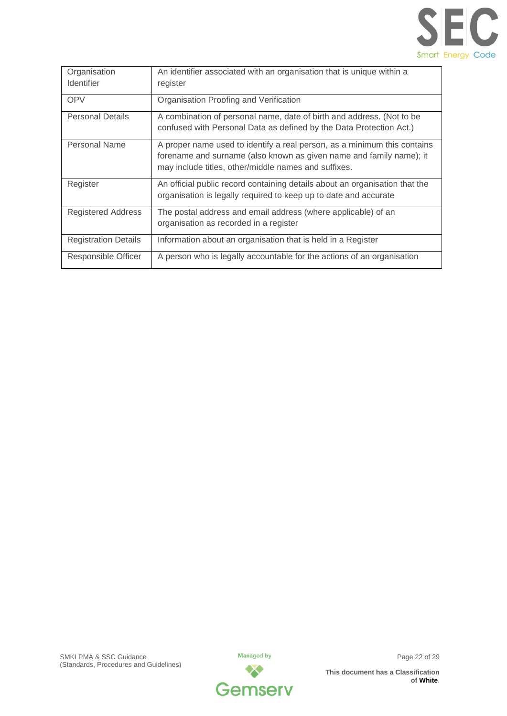

| Organisation                | An identifier associated with an organisation that is unique within a       |
|-----------------------------|-----------------------------------------------------------------------------|
| <b>Identifier</b>           | register                                                                    |
| <b>OPV</b>                  | Organisation Proofing and Verification                                      |
| <b>Personal Details</b>     | A combination of personal name, date of birth and address. (Not to be       |
|                             | confused with Personal Data as defined by the Data Protection Act.)         |
| Personal Name               | A proper name used to identify a real person, as a minimum this contains    |
|                             | forename and surname (also known as given name and family name); it         |
|                             | may include titles, other/middle names and suffixes.                        |
| Register                    | An official public record containing details about an organisation that the |
|                             | organisation is legally required to keep up to date and accurate            |
| Registered Address          | The postal address and email address (where applicable) of an               |
|                             | organisation as recorded in a register                                      |
| <b>Registration Details</b> | Information about an organisation that is held in a Register                |
| Responsible Officer         | A person who is legally accountable for the actions of an organisation      |



Page 22 of 29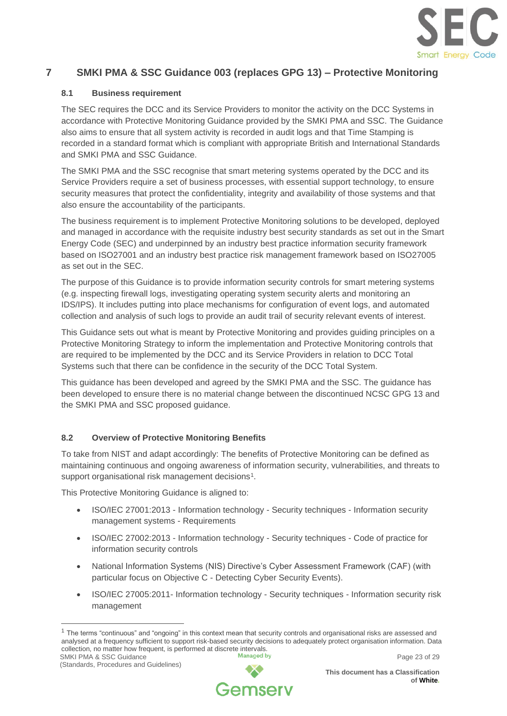

## <span id="page-22-0"></span>**7 SMKI PMA & SSC Guidance 003 (replaces GPG 13) – Protective Monitoring**

#### **8.1 Business requirement**

The SEC requires the DCC and its Service Providers to monitor the activity on the DCC Systems in accordance with Protective Monitoring Guidance provided by the SMKI PMA and SSC. The Guidance also aims to ensure that all system activity is recorded in audit logs and that Time Stamping is recorded in a standard format which is compliant with appropriate British and International Standards and SMKI PMA and SSC Guidance.

The SMKI PMA and the SSC recognise that smart metering systems operated by the DCC and its Service Providers require a set of business processes, with essential support technology, to ensure security measures that protect the confidentiality, integrity and availability of those systems and that also ensure the accountability of the participants.

The business requirement is to implement Protective Monitoring solutions to be developed, deployed and managed in accordance with the requisite industry best security standards as set out in the Smart Energy Code (SEC) and underpinned by an industry best practice information security framework based on ISO27001 and an industry best practice risk management framework based on ISO27005 as set out in the SEC.

The purpose of this Guidance is to provide information security controls for smart metering systems (e.g. inspecting firewall logs, investigating operating system security alerts and monitoring an IDS/IPS). It includes putting into place mechanisms for configuration of event logs, and automated collection and analysis of such logs to provide an audit trail of security relevant events of interest.

This Guidance sets out what is meant by Protective Monitoring and provides guiding principles on a Protective Monitoring Strategy to inform the implementation and Protective Monitoring controls that are required to be implemented by the DCC and its Service Providers in relation to DCC Total Systems such that there can be confidence in the security of the DCC Total System.

This guidance has been developed and agreed by the SMKI PMA and the SSC. The guidance has been developed to ensure there is no material change between the discontinued NCSC GPG 13 and the SMKI PMA and SSC proposed guidance.

#### **8.2 Overview of Protective Monitoring Benefits**

To take from NIST and adapt accordingly: The benefits of Protective Monitoring can be defined as maintaining continuous and ongoing awareness of information security, vulnerabilities, and threats to support organisational risk management decisions<sup>1</sup>.

This Protective Monitoring Guidance is aligned to:

- ISO/IEC 27001:2013 Information technology Security techniques Information security management systems - Requirements
- ISO/IEC 27002:2013 Information technology Security techniques Code of practice for information security controls
- National Information Systems (NIS) Directive's Cyber Assessment Framework (CAF) (with particular focus on Objective C - Detecting Cyber Security Events).
- ISO/IEC 27005:2011- Information technology Security techniques Information security risk management



Page 23 of 29

SMKI PMA & SSC Guidance  $<sup>1</sup>$  The terms "continuous" and "ongoing" in this context mean that security controls and organisational risks are assessed and</sup> analysed at a frequency sufficient to support risk-based security decisions to adequately protect organisation information. Data collection, no matter how frequent, is performed at discrete intervals.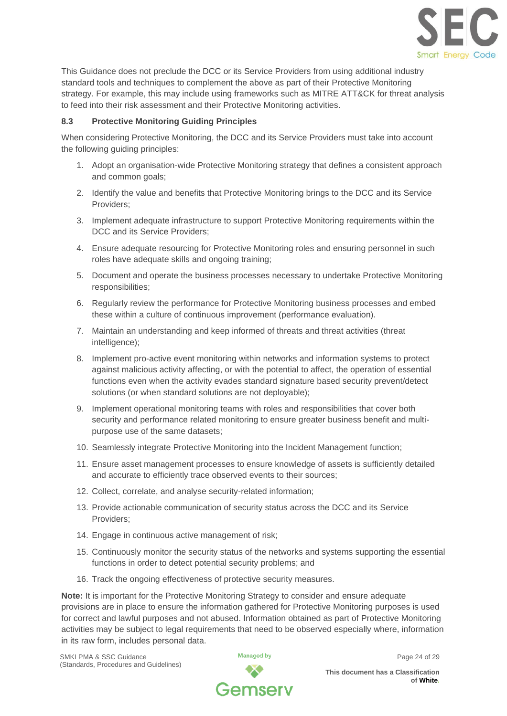

This Guidance does not preclude the DCC or its Service Providers from using additional industry standard tools and techniques to complement the above as part of their Protective Monitoring strategy. For example, this may include using frameworks such as MITRE ATT&CK for threat analysis to feed into their risk assessment and their Protective Monitoring activities.

#### **8.3 Protective Monitoring Guiding Principles**

When considering Protective Monitoring, the DCC and its Service Providers must take into account the following guiding principles:

- 1. Adopt an organisation-wide Protective Monitoring strategy that defines a consistent approach and common goals;
- 2. Identify the value and benefits that Protective Monitoring brings to the DCC and its Service Providers;
- 3. Implement adequate infrastructure to support Protective Monitoring requirements within the DCC and its Service Providers:
- 4. Ensure adequate resourcing for Protective Monitoring roles and ensuring personnel in such roles have adequate skills and ongoing training;
- 5. Document and operate the business processes necessary to undertake Protective Monitoring responsibilities;
- 6. Regularly review the performance for Protective Monitoring business processes and embed these within a culture of continuous improvement (performance evaluation).
- 7. Maintain an understanding and keep informed of threats and threat activities (threat intelligence);
- 8. Implement pro-active event monitoring within networks and information systems to protect against malicious activity affecting, or with the potential to affect, the operation of essential functions even when the activity evades standard signature based security prevent/detect solutions (or when standard solutions are not deployable);
- 9. Implement operational monitoring teams with roles and responsibilities that cover both security and performance related monitoring to ensure greater business benefit and multipurpose use of the same datasets;
- 10. Seamlessly integrate Protective Monitoring into the Incident Management function;
- 11. Ensure asset management processes to ensure knowledge of assets is sufficiently detailed and accurate to efficiently trace observed events to their sources;
- 12. Collect, correlate, and analyse security-related information;
- 13. Provide actionable communication of security status across the DCC and its Service Providers;
- 14. Engage in continuous active management of risk;
- 15. Continuously monitor the security status of the networks and systems supporting the essential functions in order to detect potential security problems; and
- 16. Track the ongoing effectiveness of protective security measures.

**Note:** It is important for the Protective Monitoring Strategy to consider and ensure adequate provisions are in place to ensure the information gathered for Protective Monitoring purposes is used for correct and lawful purposes and not abused. Information obtained as part of Protective Monitoring activities may be subject to legal requirements that need to be observed especially where, information in its raw form, includes personal data.

SMKI PMA & SSC Guidance (Standards, Procedures and Guidelines)



Page 24 of 29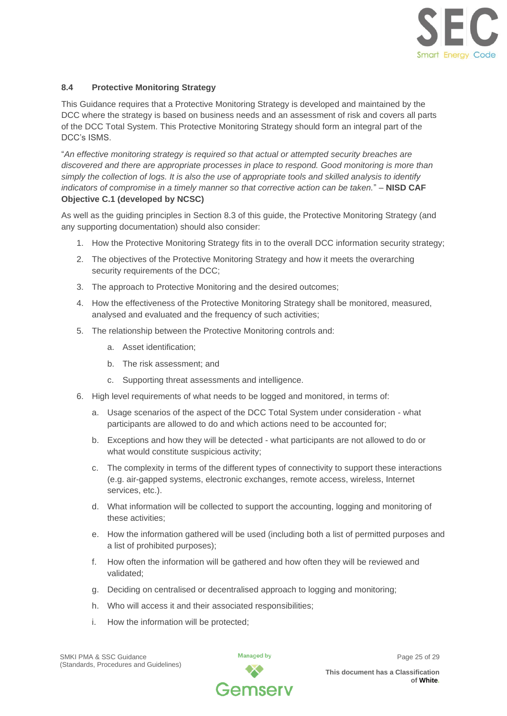

#### **8.4 Protective Monitoring Strategy**

This Guidance requires that a Protective Monitoring Strategy is developed and maintained by the DCC where the strategy is based on business needs and an assessment of risk and covers all parts of the DCC Total System. This Protective Monitoring Strategy should form an integral part of the DCC's ISMS.

"*An effective monitoring strategy is required so that actual or attempted security breaches are discovered and there are appropriate processes in place to respond. Good monitoring is more than simply the collection of logs. It is also the use of appropriate tools and skilled analysis to identify indicators of compromise in a timely manner so that corrective action can be taken.*" – **NISD CAF Objective C.1 (developed by NCSC)**

As well as the guiding principles in Section 8.3 of this guide, the Protective Monitoring Strategy (and any supporting documentation) should also consider:

- 1. How the Protective Monitoring Strategy fits in to the overall DCC information security strategy;
- 2. The objectives of the Protective Monitoring Strategy and how it meets the overarching security requirements of the DCC;
- 3. The approach to Protective Monitoring and the desired outcomes;
- 4. How the effectiveness of the Protective Monitoring Strategy shall be monitored, measured, analysed and evaluated and the frequency of such activities;
- 5. The relationship between the Protective Monitoring controls and:
	- a. Asset identification;
	- b. The risk assessment; and
	- c. Supporting threat assessments and intelligence.
- 6. High level requirements of what needs to be logged and monitored, in terms of:
	- a. Usage scenarios of the aspect of the DCC Total System under consideration what participants are allowed to do and which actions need to be accounted for;
	- b. Exceptions and how they will be detected what participants are not allowed to do or what would constitute suspicious activity;
	- c. The complexity in terms of the different types of connectivity to support these interactions (e.g. air-gapped systems, electronic exchanges, remote access, wireless, Internet services, etc.).
	- d. What information will be collected to support the accounting, logging and monitoring of these activities;
	- e. How the information gathered will be used (including both a list of permitted purposes and a list of prohibited purposes);
	- f. How often the information will be gathered and how often they will be reviewed and validated;
	- g. Deciding on centralised or decentralised approach to logging and monitoring;
	- h. Who will access it and their associated responsibilities;
	- i. How the information will be protected;



Page 25 of 29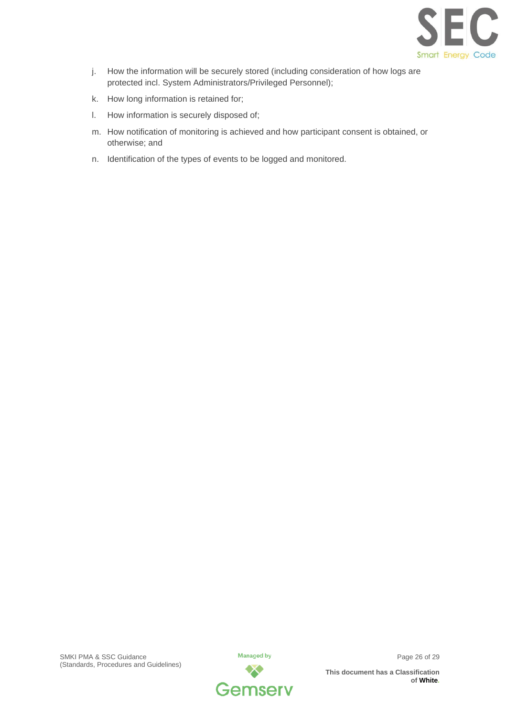

- j. How the information will be securely stored (including consideration of how logs are protected incl. System Administrators/Privileged Personnel);
- k. How long information is retained for;
- l. How information is securely disposed of;
- m. How notification of monitoring is achieved and how participant consent is obtained, or otherwise; and
- n. Identification of the types of events to be logged and monitored.



Page 26 of 29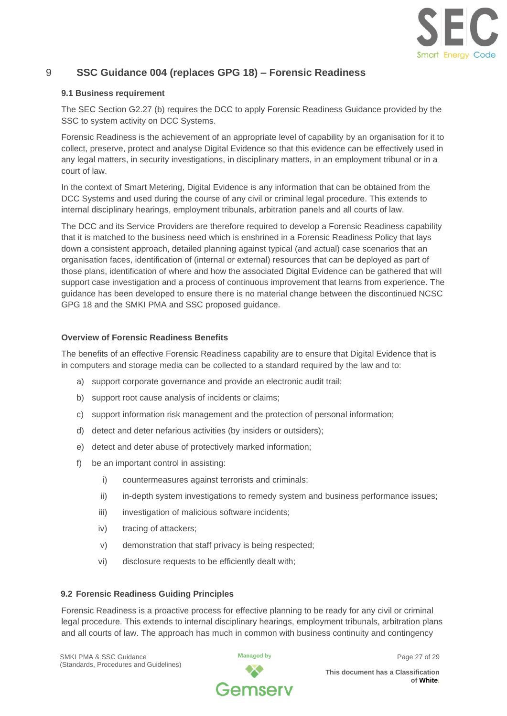

## <span id="page-26-0"></span>9 **SSC Guidance 004 (replaces GPG 18) – Forensic Readiness**

#### **9.1 Business requirement**

The SEC Section G2.27 (b) requires the DCC to apply Forensic Readiness Guidance provided by the SSC to system activity on DCC Systems.

Forensic Readiness is the achievement of an appropriate level of capability by an organisation for it to collect, preserve, protect and analyse Digital Evidence so that this evidence can be effectively used in any legal matters, in security investigations, in disciplinary matters, in an employment tribunal or in a court of law.

In the context of Smart Metering, Digital Evidence is any information that can be obtained from the DCC Systems and used during the course of any civil or criminal legal procedure. This extends to internal disciplinary hearings, employment tribunals, arbitration panels and all courts of law.

The DCC and its Service Providers are therefore required to develop a Forensic Readiness capability that it is matched to the business need which is enshrined in a Forensic Readiness Policy that lays down a consistent approach, detailed planning against typical (and actual) case scenarios that an organisation faces, identification of (internal or external) resources that can be deployed as part of those plans, identification of where and how the associated Digital Evidence can be gathered that will support case investigation and a process of continuous improvement that learns from experience. The guidance has been developed to ensure there is no material change between the discontinued NCSC GPG 18 and the SMKI PMA and SSC proposed guidance.

#### **Overview of Forensic Readiness Benefits**

The benefits of an effective Forensic Readiness capability are to ensure that Digital Evidence that is in computers and storage media can be collected to a standard required by the law and to:

- a) support corporate governance and provide an electronic audit trail;
- b) support root cause analysis of incidents or claims;
- c) support information risk management and the protection of personal information;
- d) detect and deter nefarious activities (by insiders or outsiders);
- e) detect and deter abuse of protectively marked information;
- f) be an important control in assisting:
	- i) countermeasures against terrorists and criminals;
	- ii) in-depth system investigations to remedy system and business performance issues;
	- iii) investigation of malicious software incidents;
	- iv) tracing of attackers;
	- v) demonstration that staff privacy is being respected;
	- vi) disclosure requests to be efficiently dealt with;

#### **9.2 Forensic Readiness Guiding Principles**

Forensic Readiness is a proactive process for effective planning to be ready for any civil or criminal legal procedure. This extends to internal disciplinary hearings, employment tribunals, arbitration plans and all courts of law. The approach has much in common with business continuity and contingency

SMKI PMA & SSC Guidance (Standards, Procedures and Guidelines) Managed by

Page 27 of 29

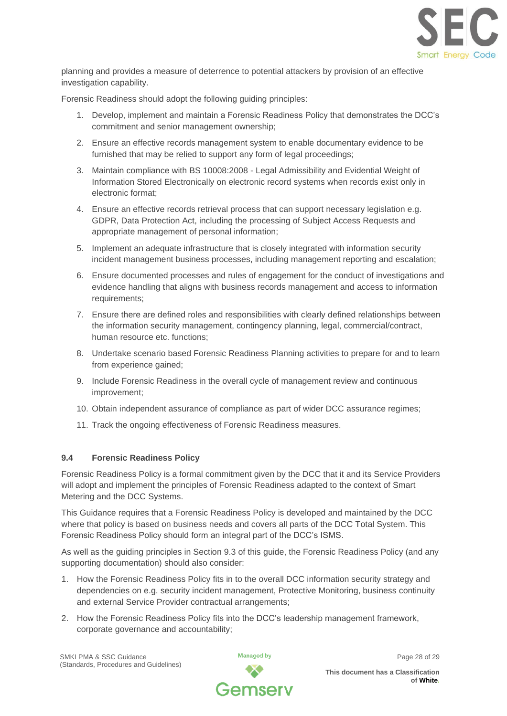

planning and provides a measure of deterrence to potential attackers by provision of an effective investigation capability.

Forensic Readiness should adopt the following guiding principles:

- 1. Develop, implement and maintain a Forensic Readiness Policy that demonstrates the DCC's commitment and senior management ownership;
- 2. Ensure an effective records management system to enable documentary evidence to be furnished that may be relied to support any form of legal proceedings:
- 3. Maintain compliance with BS 10008:2008 Legal Admissibility and Evidential Weight of Information Stored Electronically on electronic record systems when records exist only in electronic format;
- 4. Ensure an effective records retrieval process that can support necessary legislation e.g. GDPR, Data Protection Act, including the processing of Subject Access Requests and appropriate management of personal information;
- 5. Implement an adequate infrastructure that is closely integrated with information security incident management business processes, including management reporting and escalation;
- 6. Ensure documented processes and rules of engagement for the conduct of investigations and evidence handling that aligns with business records management and access to information requirements;
- 7. Ensure there are defined roles and responsibilities with clearly defined relationships between the information security management, contingency planning, legal, commercial/contract, human resource etc. functions:
- 8. Undertake scenario based Forensic Readiness Planning activities to prepare for and to learn from experience gained;
- 9. Include Forensic Readiness in the overall cycle of management review and continuous improvement;
- 10. Obtain independent assurance of compliance as part of wider DCC assurance regimes;
- 11. Track the ongoing effectiveness of Forensic Readiness measures.

#### **9.4 Forensic Readiness Policy**

Forensic Readiness Policy is a formal commitment given by the DCC that it and its Service Providers will adopt and implement the principles of Forensic Readiness adapted to the context of Smart Metering and the DCC Systems.

This Guidance requires that a Forensic Readiness Policy is developed and maintained by the DCC where that policy is based on business needs and covers all parts of the DCC Total System. This Forensic Readiness Policy should form an integral part of the DCC's ISMS.

As well as the guiding principles in Section 9.3 of this guide, the Forensic Readiness Policy (and any supporting documentation) should also consider:

- 1. How the Forensic Readiness Policy fits in to the overall DCC information security strategy and dependencies on e.g. security incident management, Protective Monitoring, business continuity and external Service Provider contractual arrangements;
- 2. How the Forensic Readiness Policy fits into the DCC's leadership management framework, corporate governance and accountability;

SMKI PMA & SSC Guidance (Standards, Procedures and Guidelines)



Page 28 of 29